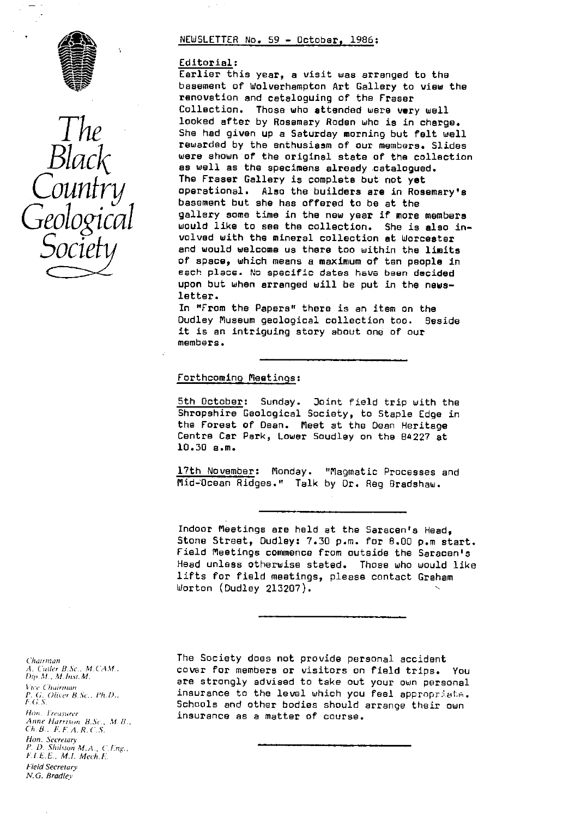



#### NEWSLETTER No. 59 - October, 1986:

#### Editorial :

Earlier this year, a visit was arranged to the basement of Wolverhampton Art Gallery to view the renovation and cataloguing of the Fraser Collection. Those who attended were very well looked after by Rosemary Roden who is in charge. She had given up a Saturday morning but felt well rewarded by the enthusiasm of our members. Slides<br>were shown of the original state of the collection  $\mathcal{BUACK}$  were shown of the original state of the collection The Fraser Gallery is complete but not yet operational. Also the builders are in Rosemary's basement but she has offered to be at the gallery some time in the new year if more members would like to see the collection. She is also involved with the mineral collection at Worcester and would welcome us there too within the limits of space, which means a maximum of ten people in each place. No specific dates have been decided upon but when arranged will be put in the newsletter.

> In "From the Papers" there is an item on the Dudley Museum geological collection too. Beside it is an intriguing story about one of our members.

# Forthcoming Meetings :

5th October: Sunday. Joint field trip with the Shropshire Geological Society, to Staple Edge in the Forest of Dean. Meet at the Dean Heritage Centre Car Park, Lower Soudley on the B4227 at 10.30 a.m.

17th November: Monday. "Magmatic Processes and Mid-Ocean Ridges." Talk by Dr. Reg Bradshaw.

Indoor Meetings are held at the Saracen's Head, Stone Street, Dudley: 7.30 p.m. for 8.00 p.m start. Field Meetings commence from outside the Saracen's Head unless otherwise stated. Those who would like lifts for field meetings, please contact Graham Worton (Dudley 213207).

Chairman<br>A. Cuiler B.Sc., M.CAM., Vice Chairman P. G. Oliver B.Sc., Ph.D., E.G.S. *iron lrew,urer* Anne Harrison, B.Sc., M.B., *('11\_ B.. FF.A.R.C.S.* Hon. Secretary *I'. D. Shilsturi W.A., (.t ng., FIFE,, M.I. Mech.E.* Field Secretary *N. G\_ Bradlev*

The Society does not provide personal accident *A. Cutler* B.Sc.. M.CAH.. cover for members or visitors on field trips. You *l)ip. M., M.hr.sr.M.* are strongly advised to take out your own personal insurance to the level which you feel appropriate. Schools and other bodies should arrange their own insurance as a matter of course.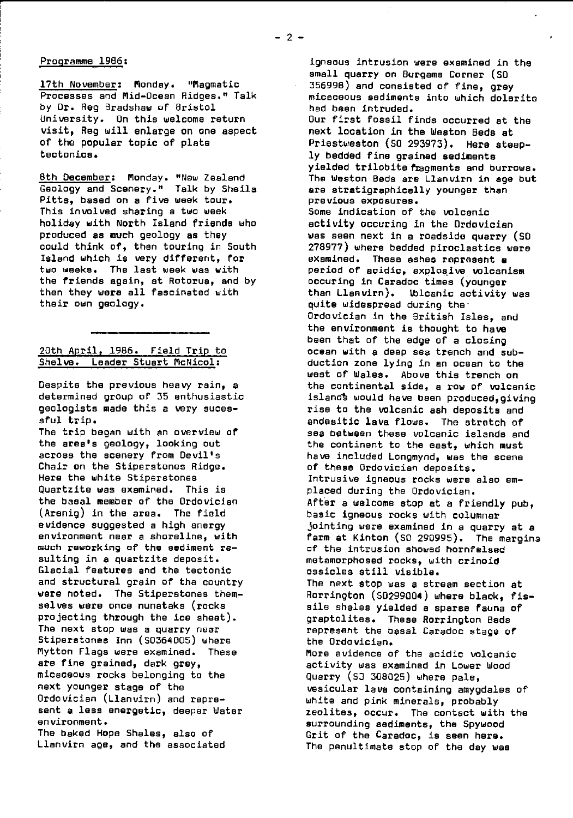## Programme 1966 :

17th November: Monday. "Magmatic Processes and Mid-Ocean Ridges." Talk by Dr. Reg Bradshaw of Bristol University. On this welcome return visit, Reg will enlarge on one aspect of the popular topic of plate tectonics.

8th December: Monday. "New Zealand Geology and Scenery." Talk by Sheila Pitts, based on a five week tour. This involved sharing a two week holiday with North Island friends who produced as much geology as they could think of, then touring in South Island which is very different, for two weeks. The last week was with the friends again, at Rotorua, and by then they were all fascinated with their own geology.

# 20th April, 1986. Field Trip to Shelve. Leader Stuart McNicol:

Despite the previous heavy rain, a determined group of 35 enthusiastic geologists made this a very suceesful trip.

The trip began with an overview of the area's geology, looking out across the scenery from Devil's Chair on the Stiperstones Ridge. Here the white Stiperstonas Quartzite was examined. This is the basal member of the Ordovician (Arenig) in the area. The field evidence suggested a high energy environment near a shoreline, with much reworking of the sediment resulting in *a* quartzite deposit. Glacial features *and the* tectonic and structural grain of the country were noted. The Stiperstones themselves were once nunataks (rocks projecting through the ice sheet). The next stop was a quarry near Stiperstones Inn (50364005) where Mytton Flags were examined. These **are** fine grained, dark grey, micaceous rocks belonging to the next younger stage of the Ordovician (Llanvirn) and represent a less energetic, deeper Water environment. The baked Hope Shales, also of Llanvirn age, and the associated

igneous intrusion were examined in the small quarry on Burgams Corner (SD 356998) and consisted of fine, grey micaceous sediments into which dolerite had been intruded. Our first fossil finds occurred at the next location in the Weston Beds at Priestweston (50 293973). Here **steeply bedded** fine grained sediments yielded trilobite fragments and burrows. The Weston Beds are Llanvirn in age but are stratigraphically younger than previous exposures. Some indication of the volcanic activity occuring in the Ordovician was seen next in a roadside quarry (SD 278977) where bedded piroclastics were examined. These ashes represent a period of acidic, explosive volcanism occuring in Caradoc times (younger than Llanvirn). Welcanic activity was quite widespread during the Ordovician in the British Isles, and the environment is thought to have been that of the edge of a closing ocean with a deep sea trench and subduction zone lying in an ocean to the west of Wales. Above this trench on the continental side, a raw of volcanic island% would have been produced,giving rise to the volcanic ash deposits and andesitic lava flows. The stretch of sea between these volcanic islands and the continent to the east, which must have included Longmynd, was the scene of these Ordovician deposits. Intrusive igneous rocks were also emplaced during the Ordovician. After a welcome stop at a friendly pub, basic igneous rocks with columnar jointing were examined in a quarry at a farm at Kinton (SO 290995). The margins of the intrusion showed hornfelsed metamorphosed rocks, with crinoid ossicles still visible. The next stop was a stream section at Rorrington (50299004) where black, fissile shales yielded a sparse fauna of graptolites. These Rorrington Beds represent the basal Caradoc stage of the Ordovician. More evidence of the acidic volcanic activity was examined in Lower Wood Quarry (S3 308025) where pale, vesicular lave containing amygdales of white and pink minerals, probably zeolites, occur. The contact with the surrounding sediments, the Spywood Grit of the Caradoc, is seen here. The penultimate stop of the day was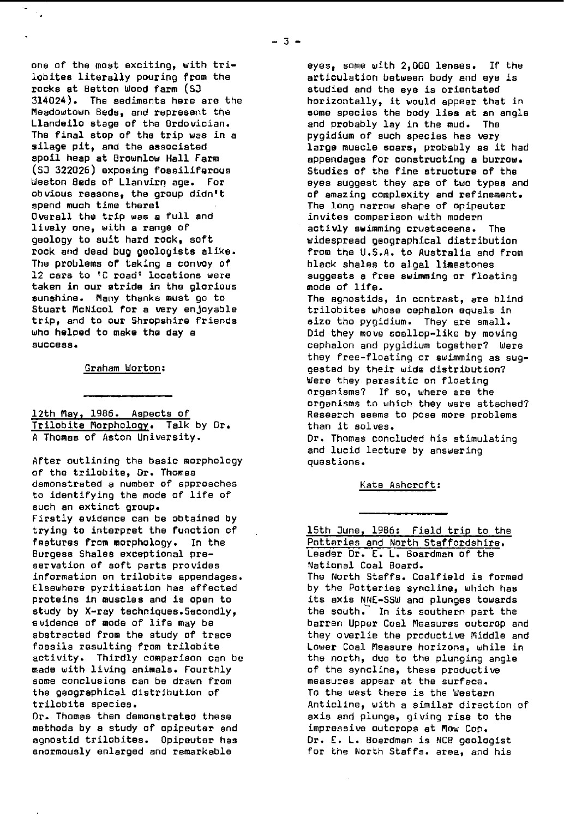one of the most exciting, with trilobites literally pouring from the racks at Batten Wood farm (SO 314024). The sediments here are the Meadowtown Beds, and represent the Llandeilo stage of the Ordovician. The final stop of the trip was in a silage pit, and the associated spoil heap at Brownlow Hall Farm (SD 322026) **exposing fossiliferous** Weston Beds of Llanvirn age. For obvious reasons, the group didntt spend much time there! Overall the trip was a full and lively one, with a range of geology to suit hard rock, soft rock and dead bug geologists alike. The problems of taking a con voy of 12 cars to 'C road' locations were taken in our stride in the glorious sunshine. Many thanks must go to Stuart McNicol for a very enjoyable trip, and to our Shropshire friends who helped to make the day a success.

Graham Morton :

12th May, 1986. Aspects of Trilobite Morphology. Talk by Dr. A **Thomas** of Aston University.

After outlining the basic morphology of the trilobite, Dr. Thomas demonstrated a number of approaches to identifying the mode of life of such an extinct group. Firstly evidence can be obtained by trying to interpret the function of features from morphology. In the Burgess Shales exceptional preservation of soft parts provides information on trilobite appendages. Elsewhere pyritisaticn has affected proteins in muscles and is open to study by X-ray techniques.Secondly, evidence of mode of life may be abstracted from the study of trace fossils resulting from trilobite activity. Thirdly comparison can be made with living animals. Fourthly some conclusions can be drawn from the geographical distribution of trilobite species.

Dr. Thomas then demonstrated these methods by a study of opipeuter and agnostid trilobites. Opipeuter has enormously enlarged and remarkable

eyes, some with 2,000 lenses. If the articulation between body and eye is studied and the eye is orientated horizontally, it would appear that in some species the body lies at an angle and probably lay in the mud. The pygidium of such species has very large muscle scars, probably as it had appendages for constructing a burrow. Studies of the fine structure of the eyes suggest they are of two types and of amazing complexity and refinement. The long narrow shape of opipeuter invites comparison with modern activly swimming crustaceans. The widespread geographical distribution from the U.S.A. to Australia and from black shales to algal limestones suggests a free swimming or floating mode of life. The agnostids, in contrast, are blind trilobites whose cephalon equals in size the pygidium. They are small. Did they move scallop-like by moving cephalon and pygidium together? Were they free-floating or swimming as suggested by their wide distribution? Were they parasitic on floating organisms? If so, where are the organisms to which they were attached? Research seems to pose more problems than it solves. Dr. Thomas concluded his stimulating and lucid lecture by answering questions.

Kate Ashcroft:

15th June, 1986: Field trip to the Potteries and North Staffordshire. Leader Dr. E. L. Boardman of the National Coal Board. The North Staffs. Coalfield is formed by the Potteries syncline, which has its axis NNE-SSW and plunges towards the south. In its southern part the barren Upper Coal Measures outcrop and they overlie the productive Middle and Lower Coal Measure horizons, while in the north, due to the plunging angle of the syncline, these productive measures appear at the surface. To the west there is the Western Anticline, with a similar direction of axis and plunge, giving rise to the impressive outcrops at Mow Cop. Dr. E. L. Boardman is NCB geologist for the North Staffs. area, and his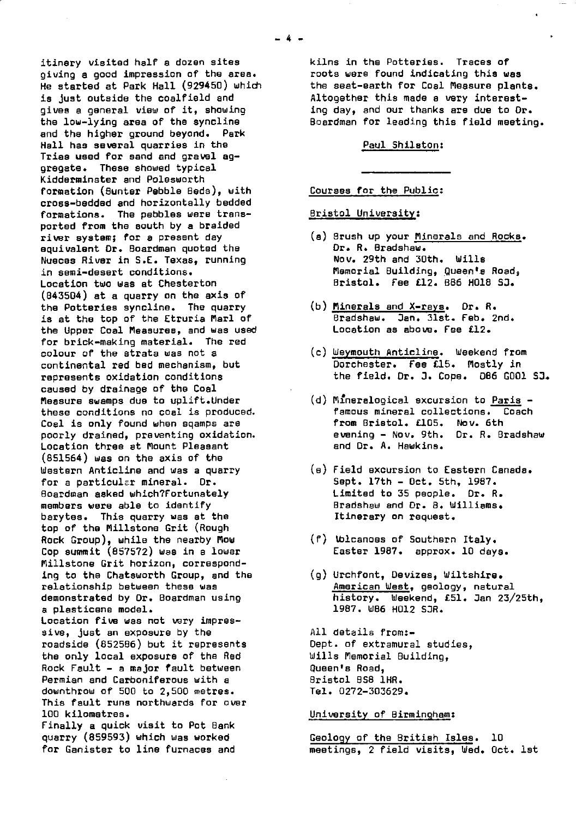itinery visited half a dozen sites giving a good impression of the area. He started at Park Hall (929450) which is just outside the coalfield and gives a general view of it, showing the low-lying **area** of the syncline and the higher ground beyond. Park Hall has several quarries in the Tries **used** for sand and gravel aggregate. These showed typical Kidderminster and Polesworth formation (Bunter Pebble Beds), with cross-bedded and horizontally bedded formations. The pebbles were transported from the south by a braided river system; for a present day equivalent Dr. Boardman quoted the Nueces River in S.E. Texas, running in semi-desert conditions. Location two was at Chesterton (843504) at a quarry on the **axis** of the Potteries syncline. The quarry is at the top of the Etruria Marl of the Upper Coal Measures, and was used for brick-making material. The red colour of the strata was not a continental red bed mechanism, but represents oxidation conditions caused by drainage of the Coal Measure swamps due to uplift.Under these conditions no coal is produced. Coal is only found when sgamps are poorly drained, preventing oxidation. Location three at Mount Pleasant (851554) was an the axis of the Western Anticline and was a quarry for a particular mineral. Dr. Boardman asked which?Fortunately members were able to identify barytes. This quarry was at the top of the Millstone Grit (Rough Rock Group), while the nearby Mow Cop summit (857572) was in a lower Millstone Grit horizon, corresponding to the Chatsworth Group, and the relationship between these was demonstrated by Dr. Boardman using a plasticene model. Location five was not very impressive, just an exposure by the roadside (852586) but it represents the only local exposure of the *Red* Rock Fault - a major fault between Permian and Carboniferous with a downthrow of 500 to 2,500 metres. This fault runs northwards for over 100 kilometres. Finally a quick visit to Pot Bank quarry (859593) which was worked for Ganister to line furnaces and

kilns in the Potteries. Traces of roots were found indicating this was the seat-earth for Coal Measure plants. Altogether this made a very interesting day, and our thanks are due to Or. Boardman for leading this field meeting.

#### Paul Shilston:

Courses for the Public:

Bristol University:

- (a) Brush up your Minerals and Rocks . Dr. R. Bradshaw. Nov. 29th and 30th. Wills Memorial Building, Queen's Roads Bristol. Fee £12. 886 H018 SJ.
- (b) Minerals and X-rays. Dr. R. Bradshaw. Jan. 31st. Feb. 2nd. Location as above. **Fee** £12.
- (c) Weymouth Anticline. Weekend from Dorchester. Fee £15. Mostly in the field. Dr. J. Cope. 066 6001 SJ..
- (d) Mineralogical excursion to Paris famous mineral collections. Coach from Bristol. £105. Nov. 6th evening - Nov. 9th. Dr. R. Bradshaw and Dr. A. Hawkins.
- (a) Field excursion to Eastern Canada. Sept. 17th - Oct. 5th, 1987. Limited to 35 people. Dr. R. Bradshaw and Dr. B. Williams. Itinerary on request.
- (f) Ublcanoes of Southern Italy. Easter 1987. approx. 10 days.
- (g) Urchfont, Devizes, Wiltshire. American West, geology, natural history. weekend, £51. Jan 23/25th, 1987. 186 H012 SJR.

All details from:- Dept. of extramural studies, Wills Memorial Building, Queen's Road, Bristol 958 1HR. Tel. 0272-303629.

University of Birmingham :

Geology of the British Isles. 10 meetings, 2 field visits, Wed. Oct. 1st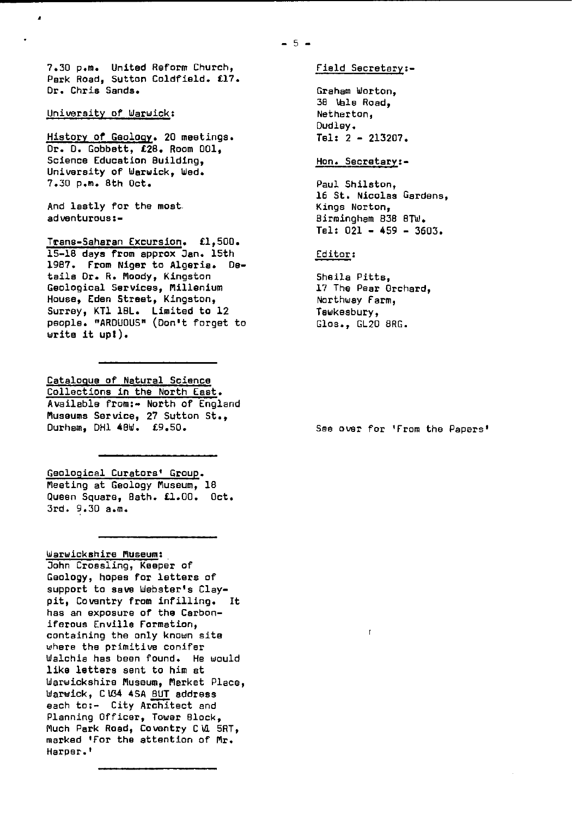7.30 p.m. United Reform Church, Park Road, Sutton Coldfield. £17. Dr. Chris Sands.

## University of Warwick :

i

History of Geology. 20 meetings. Dr. 0. Cobbett, £28. Room 001, Science Education Building, University of Warwick, Wed. 7.30 p.m. 8th Oct.

And lastly for the most. adventurous:-

Trans-Saharan Excursion. £1,500. 15-18 days from approx Jan. 15th 1987. **From Niger** to Algeria. Details Dr. R. Moody, Kingston Geological Services, Millenium House, Eden Street, Kingston, Surrey, KT1 18L. Limited to 12 people. "ARDUOUS" (Don't forget to Write it up!).

Catalogue of Natural Science Collections in the North East . Available from:- North of England Museums Service, 27 Sutton St., Durham, DH1 48W. £9.50.

Geological Curators' Group . Meeting at Geology Museum, 18 Queen Square, Bath. £1.00. Oct. 3rd. 9.30 a.m.

Warwickshire Museum : John Crossling, Keeper of Geology, hopes for letters of support to **save** Webster's Claypit, Coventry from infilling. It has an exposure of the Carboniferous Enville Formation, containing the only known site where the primitive conifer Walchia has been found. He would like letters sent to him at Warwickshire Museum, Market Place, Warwick, C U34 **4SA** BUT address each to;- City Architect and Planning Officer, Tower Block, Much Park Road, Coventry CW SAT, marked 'For the attention of Mr. Harper.'

Graham Worton, 38 Vale Road, Netherton, Dudley. Tel: 2 - 213207.

Field Secretary:-

### Hon. Secretary :-

Paul Shilaton, 16 St. Nicolas Gardens, Kings Norton, Birmingham 838 8TW. Tel: 021 - 459 - 3603.

#### Editor :

Sheila Pitts, 17 The Pear Orchard, Northway Farm, Tewkesbury, Glos., GL20 8RG.

 $\mathbf{r}$ 

See over for 'From the Papers'